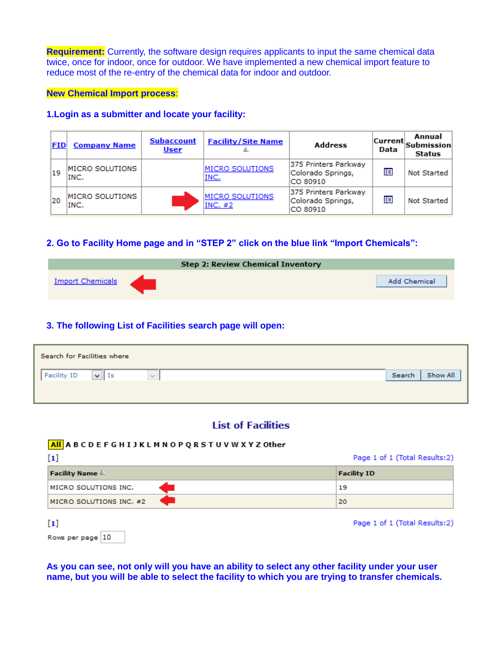**Requirement:** Currently, the software design requires applicants to input the same chemical data twice, once for indoor, once for outdoor. We have implemented a new chemical import feature to reduce most of the re-entry of the chemical data for indoor and outdoor.

**New Chemical Import process**:

### **1.Login as a submitter and locate your facility:**

| FID | <b>Company Name</b>            | <b>Subaccount</b><br><b>User</b> | <b>Facility/Site Name</b>    | <b>Address</b>                                        | <b>Current</b><br>Data | <b>Annual</b><br><b>Submission</b><br><b>Status</b> |
|-----|--------------------------------|----------------------------------|------------------------------|-------------------------------------------------------|------------------------|-----------------------------------------------------|
| 19  | <b>MICRO SOLUTIONS</b><br>INC. |                                  | MICRO SOLUTIONS<br>INC.      | 375 Printers Parkway<br>Colorado Springs,<br>CO 80910 | 胆                      | Not Started                                         |
| 120 | MICRO SOLUTIONS<br>INC.        |                                  | MICRO SOLUTIONS<br>INC. $#2$ | 375 Printers Parkway<br>Colorado Springs,<br>CO 80910 | 眶                      | <b>Not Started</b>                                  |

# **2. Go to Facility Home page and in "STEP 2" click on the blue link "Import Chemicals":**

|                         | <b>Step 2: Review Chemical Inventory</b> |              |
|-------------------------|------------------------------------------|--------------|
| <b>Import Chemicals</b> |                                          | Add Chemical |

### **3. The following List of Facilities search page will open:**

| Search for Facilities where |                       |   |                    |
|-----------------------------|-----------------------|---|--------------------|
| Facility ID                 | $\vee$ $\vdash$<br>Is | ٧ | Show All<br>Search |
|                             |                       |   |                    |

## **List of Facilities**

### All ABCDEFGHIJKLMNOPQRSTUVWXYZOther

|                         | Page 1 of 1 (Total Results:2) |
|-------------------------|-------------------------------|
| <b>Facility Name</b>    | <b>Facility ID</b>            |
| MICRO SOLUTIONS INC.    | 19                            |
| MICRO SOLUTIONS INC. #2 | 20                            |
|                         | Page 1 of 1 (Total Results:2) |

|  | Rows per page 10 |  |
|--|------------------|--|

**As you can see, not only will you have an ability to select any other facility under your user name, but you will be able to select the facility to which you are trying to transfer chemicals.**